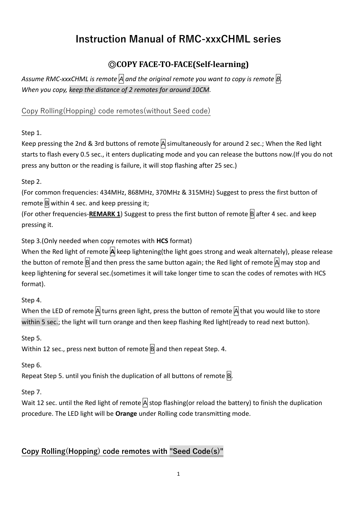# **Instruction Manual of RMC-xxxCHML series**

# ◎**COPY FACE-TO-FACE(Self-learning)**

*Assume RMC-xxxCHML is remote A and the original remote you want to copy is remote B. When you copy, keep the distance of 2 remotes for around 10CM.*

Copy Rolling(Hopping) code remotes(without Seed code)

Step 1.

Keep pressing the 2nd & 3rd buttons of remote  $\overline{A}$  simultaneously for around 2 sec.; When the Red light starts to flash every 0.5 sec., it enters duplicating mode and you can release the buttons now.(If you do not press any button or the reading is failure, it will stop flashing after 25 sec.)

Step 2.

(For common frequencies: 434MHz, 868MHz, 370MHz & 315MHz) Suggest to press the first button of remote  $\mathbb B$  within 4 sec. and keep pressing it;

(For other frequencies-**REMARK 1**) Suggest to press the first button of remote B after 4 sec. and keep pressing it.

Step 3.(Only needed when copy remotes with **HCS** format)

When the Red light of remote **A** keep lightening(the light goes strong and weak alternately), please release the button of remote  $\mathbb B$  and then press the same button again; the Red light of remote  $\mathsf A$  may stop and keep lightening for several sec.(sometimes it will take longer time to scan the codes of remotes with HCS format).

Step 4.

When the LED of remote  $\overline{A}$  turns green light, press the button of remote  $\overline{A}$  that you would like to store within 5 sec.; the light will turn orange and then keep flashing Red light(ready to read next button).

Step 5.

Within 12 sec., press next button of remote  $\overline{B}$  and then repeat Step. 4.

Step 6.

Repeat Step 5. until you finish the duplication of all buttons of remote  $B$ .

Step 7.

Wait 12 sec. until the Red light of remote  $\overline{A}$  stop flashing(or reload the battery) to finish the duplication procedure. The LED light will be **Orange** under Rolling code transmitting mode.

# **Copy Rolling(Hopping) code remotes with "Seed Code(s)"**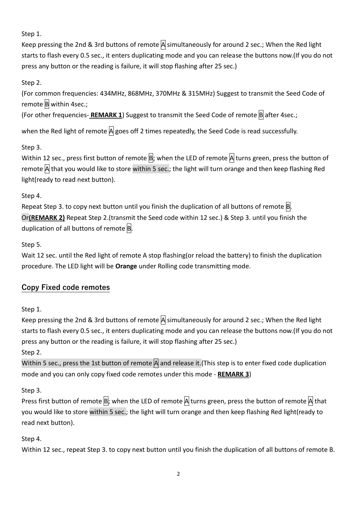Step 1.

Keep pressing the 2nd & 3rd buttons of remote  $\overline{A}$  simultaneously for around 2 sec.; When the Red light starts to flash every 0.5 sec., it enters duplicating mode and you can release the buttons now.(If you do not press any button or the reading is failure, it will stop flashing after 25 sec.)

### Step 2.

(For common frequencies: 434MHz, 868MHz, 370MHz & 315MHz) Suggest to transmit the Seed Code of remote B within 4sec.;

(For other frequencies-**REMARK 1**) Suggest to transmit the Seed Code of remote B after 4sec.;

when the Red light of remote  $\overline{A}$  goes off 2 times repeatedly, the Seed Code is read successfully.

Step 3.

Within 12 sec., press first button of remote  $\overline{B}$ ; when the LED of remote  $\overline{A}$  turns green, press the button of remote  $\overline{A}$  that you would like to store within 5 sec.; the light will turn orange and then keep flashing Red light(ready to read next button).

#### Step 4.

Repeat Step 3. to copy next button until you finish the duplication of all buttons of remote  $B$ . Or**(REMARK 2)** Repeat Step 2.(transmit the Seed code within 12 sec.) & Step 3. until you finish the duplication of all buttons of remote  $B$ .

Step 5.

Wait 12 sec. until the Red light of remote A stop flashing(or reload the battery) to finish the duplication procedure. The LED light will be **Orange** under Rolling code transmitting mode.

# **Copy Fixed code remotes**

Step 1.

Keep pressing the 2nd & 3rd buttons of remote  $\overline{A}$  simultaneously for around 2 sec.; When the Red light starts to flash every 0.5 sec., it enters duplicating mode and you can release the buttons now.(If you do not press any button or the reading is failure, it will stop flashing after 25 sec.)

Step 2.

Within 5 sec., press the 1st button of remote  $|A|$  and release it. (This step is to enter fixed code duplication mode and you can only copy fixed code remotes under this mode - **REMARK 3**)

# Step 3.

Press first button of remote  $\overline{B}$ ; when the LED of remote  $\overline{A}$  turns green, press the button of remote  $\overline{A}$  that you would like to store within 5 sec.; the light will turn orange and then keep flashing Red light(ready to read next button).

# Step 4.

Within 12 sec., repeat Step 3. to copy next button until you finish the duplication of all buttons of remote B.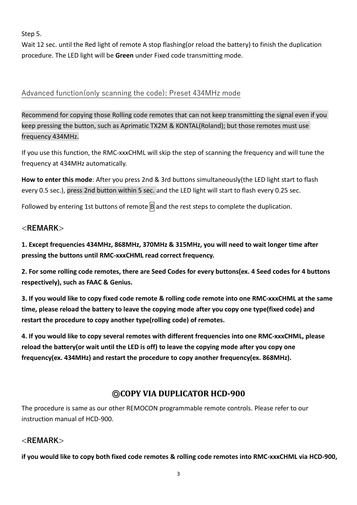Step 5.

Wait 12 sec. until the Red light of remote A stop flashing(or reload the battery) to finish the duplication procedure. The LED light will be **Green** under Fixed code transmitting mode.

### Advanced function(only scanning the code): Preset 434MHz mode

Recommend for copying those Rolling code remotes that can not keep transmitting the signal even if you keep pressing the button, such as Aprimatic TX2M & KONTAL(Roland); but those remotes must use frequency 434MHz.

If you use this function, the RMC-xxxCHML will skip the step of scanning the frequency and will tune the frequency at 434MHz automatically.

**How to enter this mode**: After you press 2nd & 3rd buttons simultaneously(the LED light start to flash every 0.5 sec.), press 2nd button within 5 sec. and the LED light will start to flash every 0.25 sec.

Followed by entering 1st buttons of remote  $\mathbb B$  and the rest steps to complete the duplication.

#### **<REMARK>**

**1. Except frequencies 434MHz, 868MHz, 370MHz & 315MHz, you will need to wait longer time after pressing the buttons until RMC-xxxCHML read correct frequency.**

**2. For some rolling code remotes, there are Seed Codes for every buttons(ex. 4 Seed codes for 4 buttons respectively), such as FAAC & Genius.** 

**3. If you would like to copy fixed code remote & rolling code remote into one RMC-xxxCHML at the same time, please reload the battery to leave the copying mode after you copy one type(fixed code) and restart the procedure to copy another type(rolling code) of remotes.**

**4. If you would like to copy several remotes with different frequencies into one RMC-xxxCHML, please reload the battery(or wait until the LED is off) to leave the copying mode after you copy one frequency(ex. 434MHz) and restart the procedure to copy another frequency(ex. 868MHz).**

# ◎**COPY VIA DUPLICATOR HCD-900**

The procedure is same as our other REMOCON programmable remote controls. Please refer to our instruction manual of HCD-900.

#### **<REMARK>**

**if you would like to copy both fixed code remotes & rolling code remotes into RMC-xxxCHML via HCD-900,**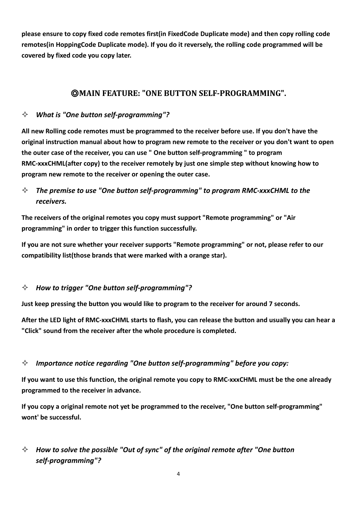**please ensure to copy fixed code remotes first(in FixedCode Duplicate mode) and then copy rolling code remotes(in HoppingCode Duplicate mode). If you do it reversely, the rolling code programmed will be covered by fixed code you copy later.**

# ◎**MAIN FEATURE: "ONE BUTTON SELF-PROGRAMMING".**

#### *What is "One button self-programming"?*

**All new Rolling code remotes must be programmed to the receiver before use. If you don't have the original instruction manual about how to program new remote to the receiver or you don't want to open the outer case of the receiver, you can use " One button self-programming " to program RMC-xxxCHML(after copy) to the receiver remotely by just one simple step without knowing how to program new remote to the receiver or opening the outer case.**

 *The premise to use "One button self-programming" to program RMC-xxxCHML to the receivers.*

**The receivers of the original remotes you copy must support "Remote programming" or "Air programming" in order to trigger this function successfully.**

**If you are not sure whether your receiver supports "Remote programming" or not, please refer to our compatibility list(those brands that were marked with a orange star).**

#### *How to trigger "One button self-programming"?*

**Just keep pressing the button you would like to program to the receiver for around 7 seconds.**

**After the LED light of RMC-xxxCHML starts to flash, you can release the button and usually you can hear a "Click" sound from the receiver after the whole procedure is completed.**

#### *Importance notice regarding "One button self-programming" before you copy:*

**If you want to use this function, the original remote you copy to RMC-xxxCHML must be the one already programmed to the receiver in advance.**

**If you copy a original remote not yet be programmed to the receiver, "One button self-programming" wont' be successful.**

# $\Diamond$  How to solve the possible "Out of sync" of the original remote after "One button *self-programming"?*